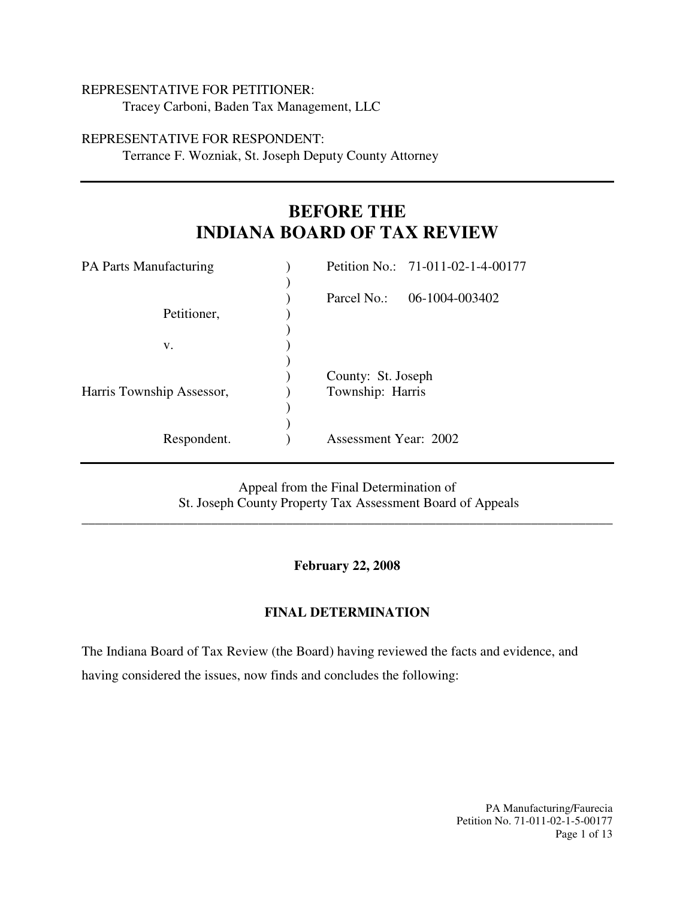### REPRESENTATIVE FOR PETITIONER:

Tracey Carboni, Baden Tax Management, LLC

### REPRESENTATIVE FOR RESPONDENT:

Terrance F. Wozniak, St. Joseph Deputy County Attorney

# **BEFORE THE INDIANA BOARD OF TAX REVIEW**

| <b>PA Parts Manufacturing</b> |                       | Petition No.: 71-011-02-1-4-00177 |
|-------------------------------|-----------------------|-----------------------------------|
|                               |                       |                                   |
|                               | Parcel No.:           | 06-1004-003402                    |
| Petitioner,                   |                       |                                   |
|                               |                       |                                   |
| V.                            |                       |                                   |
|                               |                       |                                   |
|                               | County: St. Joseph    |                                   |
| Harris Township Assessor,     | Township: Harris      |                                   |
|                               |                       |                                   |
|                               |                       |                                   |
| Respondent.                   | Assessment Year: 2002 |                                   |
|                               |                       |                                   |

Appeal from the Final Determination of St. Joseph County Property Tax Assessment Board of Appeals

\_\_\_\_\_\_\_\_\_\_\_\_\_\_\_\_\_\_\_\_\_\_\_\_\_\_\_\_\_\_\_\_\_\_\_\_\_\_\_\_\_\_\_\_\_\_\_\_\_\_\_\_\_\_\_\_\_\_\_\_\_\_\_\_\_\_\_\_\_\_\_\_\_\_\_\_\_\_

#### **February 22, 2008**

#### **FINAL DETERMINATION**

The Indiana Board of Tax Review (the Board) having reviewed the facts and evidence, and having considered the issues, now finds and concludes the following:

> PA Manufacturing/Faurecia Petition No. 71-011-02-1-5-00177 Page 1 of 13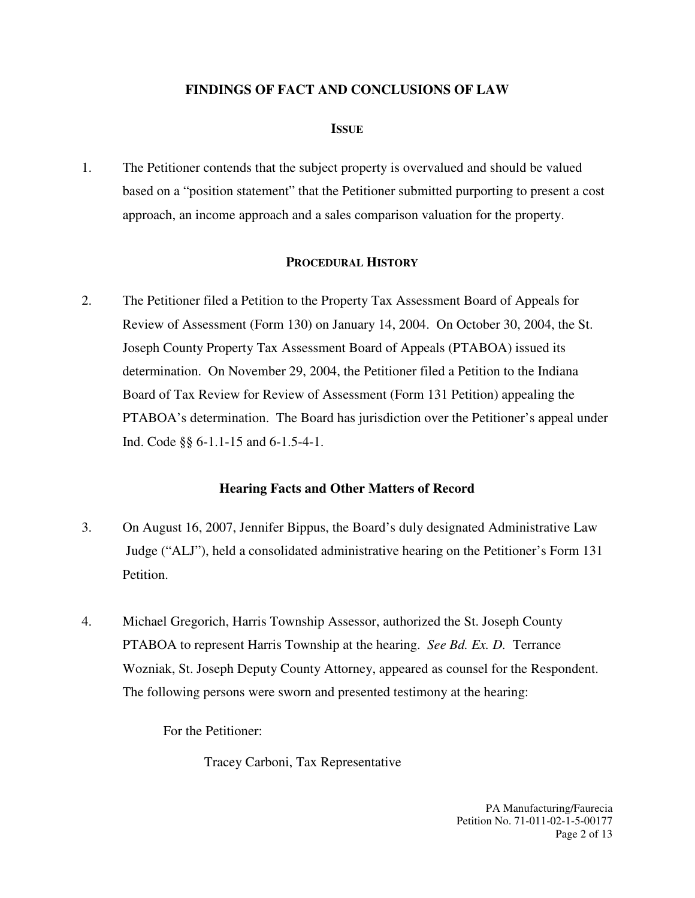## **FINDINGS OF FACT AND CONCLUSIONS OF LAW**

## **ISSUE**

1. The Petitioner contends that the subject property is overvalued and should be valued based on a "position statement" that the Petitioner submitted purporting to present a cost approach, an income approach and a sales comparison valuation for the property.

## **PROCEDURAL HISTORY**

2. The Petitioner filed a Petition to the Property Tax Assessment Board of Appeals for Review of Assessment (Form 130) on January 14, 2004. On October 30, 2004, the St. Joseph County Property Tax Assessment Board of Appeals (PTABOA) issued its determination. On November 29, 2004, the Petitioner filed a Petition to the Indiana Board of Tax Review for Review of Assessment (Form 131 Petition) appealing the PTABOA's determination. The Board has jurisdiction over the Petitioner's appeal under Ind. Code §§ 6-1.1-15 and 6-1.5-4-1.

## **Hearing Facts and Other Matters of Record**

- 3. On August 16, 2007, Jennifer Bippus, the Board's duly designated Administrative Law Judge ("ALJ"), held a consolidated administrative hearing on the Petitioner's Form 131 Petition.
- 4. Michael Gregorich, Harris Township Assessor, authorized the St. Joseph County PTABOA to represent Harris Township at the hearing. *See Bd. Ex. D.* Terrance Wozniak, St. Joseph Deputy County Attorney, appeared as counsel for the Respondent. The following persons were sworn and presented testimony at the hearing:

For the Petitioner:

Tracey Carboni, Tax Representative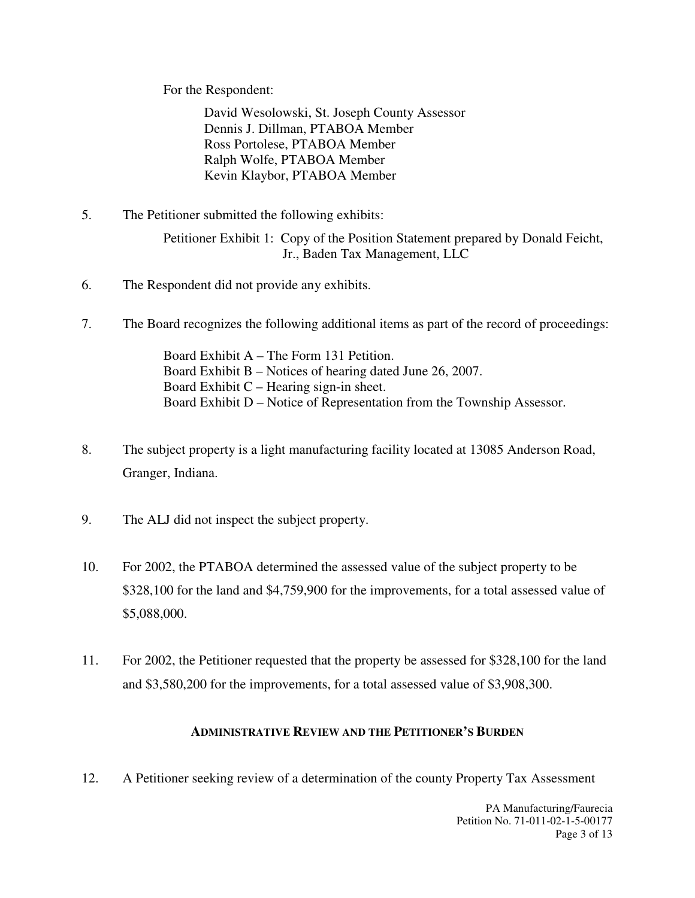For the Respondent:

David Wesolowski, St. Joseph County Assessor Dennis J. Dillman, PTABOA Member Ross Portolese, PTABOA Member Ralph Wolfe, PTABOA Member Kevin Klaybor, PTABOA Member

5. The Petitioner submitted the following exhibits:

Petitioner Exhibit 1: Copy of the Position Statement prepared by Donald Feicht, Jr., Baden Tax Management, LLC

- 6. The Respondent did not provide any exhibits.
- 7. The Board recognizes the following additional items as part of the record of proceedings:

 Board Exhibit A – The Form 131 Petition. Board Exhibit B – Notices of hearing dated June 26, 2007. Board Exhibit  $C$  – Hearing sign-in sheet. Board Exhibit D – Notice of Representation from the Township Assessor.

- 8. The subject property is a light manufacturing facility located at 13085 Anderson Road, Granger, Indiana.
- 9. The ALJ did not inspect the subject property.
- 10. For 2002, the PTABOA determined the assessed value of the subject property to be \$328,100 for the land and \$4,759,900 for the improvements, for a total assessed value of \$5,088,000.
- 11. For 2002, the Petitioner requested that the property be assessed for \$328,100 for the land and \$3,580,200 for the improvements, for a total assessed value of \$3,908,300.

## **ADMINISTRATIVE REVIEW AND THE PETITIONER'S BURDEN**

12. A Petitioner seeking review of a determination of the county Property Tax Assessment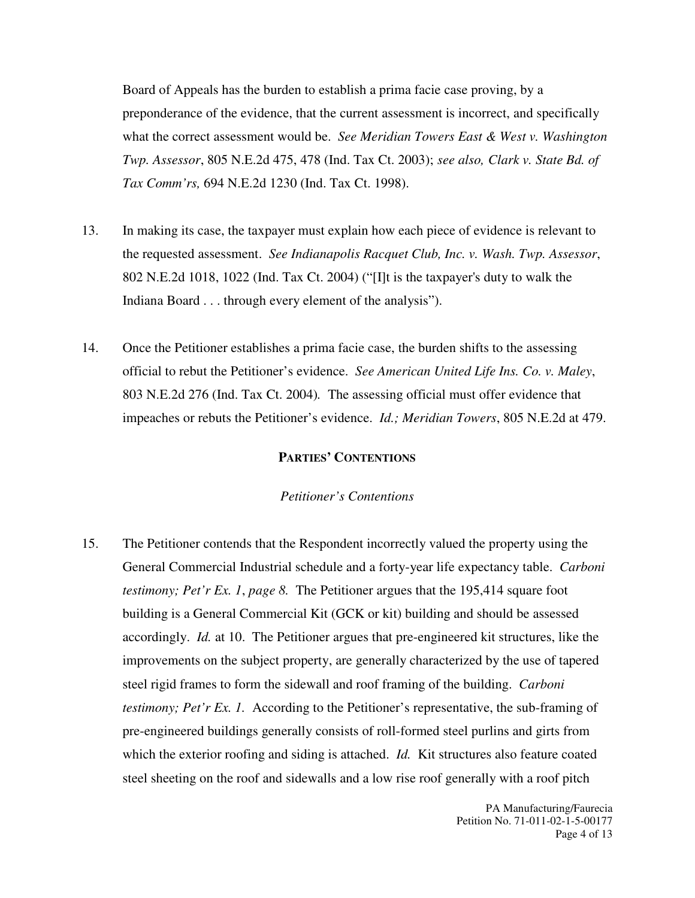Board of Appeals has the burden to establish a prima facie case proving, by a preponderance of the evidence, that the current assessment is incorrect, and specifically what the correct assessment would be. *See Meridian Towers East & West v. Washington Twp. Assessor*, 805 N.E.2d 475, 478 (Ind. Tax Ct. 2003); *see also, Clark v. State Bd. of Tax Comm'rs,* 694 N.E.2d 1230 (Ind. Tax Ct. 1998).

- 13. In making its case, the taxpayer must explain how each piece of evidence is relevant to the requested assessment. *See Indianapolis Racquet Club, Inc. v. Wash. Twp. Assessor*, 802 N.E.2d 1018, 1022 (Ind. Tax Ct. 2004) ("[I]t is the taxpayer's duty to walk the Indiana Board . . . through every element of the analysis").
- 14. Once the Petitioner establishes a prima facie case, the burden shifts to the assessing official to rebut the Petitioner's evidence. *See American United Life Ins. Co. v. Maley*, 803 N.E.2d 276 (Ind. Tax Ct. 2004)*.* The assessing official must offer evidence that impeaches or rebuts the Petitioner's evidence. *Id.; Meridian Towers*, 805 N.E.2d at 479.

#### **PARTIES' CONTENTIONS**

#### *Petitioner's Contentions*

15. The Petitioner contends that the Respondent incorrectly valued the property using the General Commercial Industrial schedule and a forty-year life expectancy table. *Carboni testimony; Pet'r Ex. 1*, *page 8.* The Petitioner argues that the 195,414 square foot building is a General Commercial Kit (GCK or kit) building and should be assessed accordingly. *Id.* at 10. The Petitioner argues that pre-engineered kit structures, like the improvements on the subject property, are generally characterized by the use of tapered steel rigid frames to form the sidewall and roof framing of the building. *Carboni testimony; Pet'r Ex. 1.* According to the Petitioner's representative, the sub-framing of pre-engineered buildings generally consists of roll-formed steel purlins and girts from which the exterior roofing and siding is attached. *Id.* Kit structures also feature coated steel sheeting on the roof and sidewalls and a low rise roof generally with a roof pitch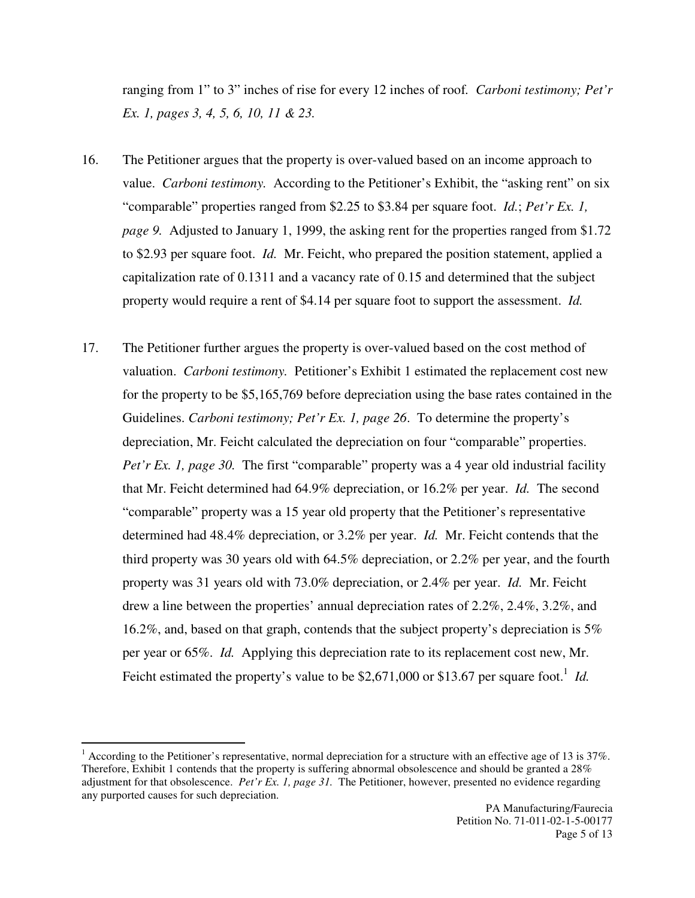ranging from 1" to 3" inches of rise for every 12 inches of roof*. Carboni testimony; Pet'r Ex. 1, pages 3, 4, 5, 6, 10, 11 & 23.*

- 16. The Petitioner argues that the property is over-valued based on an income approach to value. *Carboni testimony.* According to the Petitioner's Exhibit, the "asking rent" on six "comparable" properties ranged from \$2.25 to \$3.84 per square foot. *Id.*; *Pet'r Ex. 1, page 9.* Adjusted to January 1, 1999, the asking rent for the properties ranged from \$1.72 to \$2.93 per square foot. *Id.* Mr. Feicht, who prepared the position statement, applied a capitalization rate of 0.1311 and a vacancy rate of 0.15 and determined that the subject property would require a rent of \$4.14 per square foot to support the assessment. *Id.*
- 17. The Petitioner further argues the property is over-valued based on the cost method of valuation. *Carboni testimony.* Petitioner's Exhibit 1 estimated the replacement cost new for the property to be \$5,165,769 before depreciation using the base rates contained in the Guidelines. *Carboni testimony; Pet'r Ex. 1, page 26*. To determine the property's depreciation, Mr. Feicht calculated the depreciation on four "comparable" properties. *Pet'r Ex. 1, page 30.* The first "comparable" property was a 4 year old industrial facility that Mr. Feicht determined had 64.9% depreciation, or 16.2% per year. *Id.* The second "comparable" property was a 15 year old property that the Petitioner's representative determined had 48.4% depreciation, or 3.2% per year. *Id.* Mr. Feicht contends that the third property was 30 years old with 64.5% depreciation, or 2.2% per year, and the fourth property was 31 years old with 73.0% depreciation, or 2.4% per year. *Id.* Mr. Feicht drew a line between the properties' annual depreciation rates of 2.2%, 2.4%, 3.2%, and 16.2%, and, based on that graph, contends that the subject property's depreciation is 5% per year or 65%. *Id.* Applying this depreciation rate to its replacement cost new, Mr. Feicht estimated the property's value to be  $$2,671,000$  or  $$13.67$  per square foot.<sup>1</sup> *Id.*

 $\overline{a}$ 

 $1$  According to the Petitioner's representative, normal depreciation for a structure with an effective age of 13 is 37%. Therefore, Exhibit 1 contends that the property is suffering abnormal obsolescence and should be granted a 28% adjustment for that obsolescence. *Pet'r Ex. 1, page 31.* The Petitioner, however, presented no evidence regarding any purported causes for such depreciation.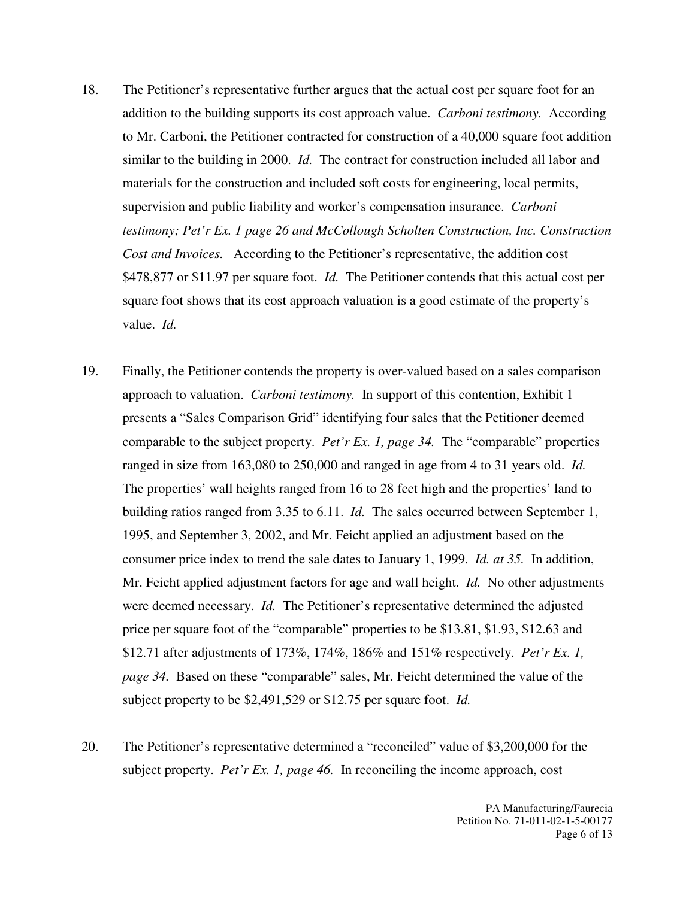- 18. The Petitioner's representative further argues that the actual cost per square foot for an addition to the building supports its cost approach value. *Carboni testimony.* According to Mr. Carboni, the Petitioner contracted for construction of a 40,000 square foot addition similar to the building in 2000. *Id.* The contract for construction included all labor and materials for the construction and included soft costs for engineering, local permits, supervision and public liability and worker's compensation insurance. *Carboni testimony; Pet'r Ex. 1 page 26 and McCollough Scholten Construction, Inc. Construction Cost and Invoices.* According to the Petitioner's representative, the addition cost \$478,877 or \$11.97 per square foot. *Id.* The Petitioner contends that this actual cost per square foot shows that its cost approach valuation is a good estimate of the property's value. *Id.*
- 19. Finally, the Petitioner contends the property is over-valued based on a sales comparison approach to valuation. *Carboni testimony.* In support of this contention, Exhibit 1 presents a "Sales Comparison Grid" identifying four sales that the Petitioner deemed comparable to the subject property. *Pet'r Ex. 1, page 34.* The "comparable" properties ranged in size from 163,080 to 250,000 and ranged in age from 4 to 31 years old. *Id.* The properties' wall heights ranged from 16 to 28 feet high and the properties' land to building ratios ranged from 3.35 to 6.11. *Id.* The sales occurred between September 1, 1995, and September 3, 2002, and Mr. Feicht applied an adjustment based on the consumer price index to trend the sale dates to January 1, 1999. *Id. at 35.* In addition, Mr. Feicht applied adjustment factors for age and wall height. *Id.* No other adjustments were deemed necessary. *Id.* The Petitioner's representative determined the adjusted price per square foot of the "comparable" properties to be \$13.81, \$1.93, \$12.63 and \$12.71 after adjustments of 173%, 174%, 186% and 151% respectively. *Pet'r Ex. 1, page 34.* Based on these "comparable" sales, Mr. Feicht determined the value of the subject property to be \$2,491,529 or \$12.75 per square foot. *Id.*
- 20. The Petitioner's representative determined a "reconciled" value of \$3,200,000 for the subject property. *Pet'r Ex. 1, page 46.* In reconciling the income approach, cost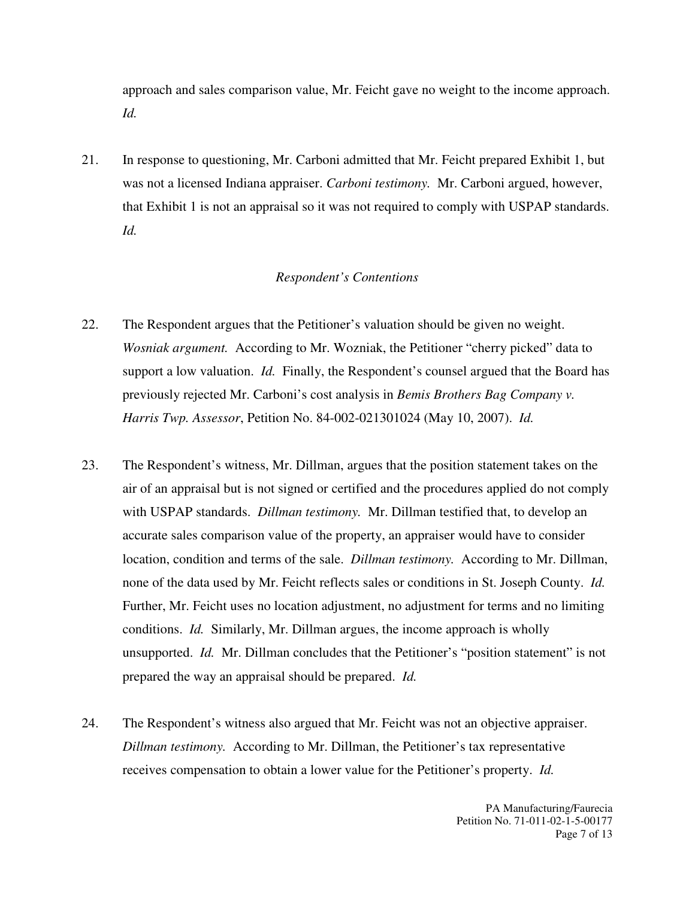approach and sales comparison value, Mr. Feicht gave no weight to the income approach. *Id.*

21. In response to questioning, Mr. Carboni admitted that Mr. Feicht prepared Exhibit 1, but was not a licensed Indiana appraiser. *Carboni testimony.* Mr. Carboni argued, however, that Exhibit 1 is not an appraisal so it was not required to comply with USPAP standards. *Id.* 

#### *Respondent's Contentions*

- 22. The Respondent argues that the Petitioner's valuation should be given no weight. *Wosniak argument.* According to Mr. Wozniak, the Petitioner "cherry picked" data to support a low valuation. *Id.* Finally, the Respondent's counsel argued that the Board has previously rejected Mr. Carboni's cost analysis in *Bemis Brothers Bag Company v. Harris Twp. Assessor*, Petition No. 84-002-021301024 (May 10, 2007). *Id.*
- 23. The Respondent's witness, Mr. Dillman, argues that the position statement takes on the air of an appraisal but is not signed or certified and the procedures applied do not comply with USPAP standards. *Dillman testimony.* Mr. Dillman testified that, to develop an accurate sales comparison value of the property, an appraiser would have to consider location, condition and terms of the sale. *Dillman testimony.* According to Mr. Dillman, none of the data used by Mr. Feicht reflects sales or conditions in St. Joseph County. *Id.*  Further, Mr. Feicht uses no location adjustment, no adjustment for terms and no limiting conditions. *Id.* Similarly, Mr. Dillman argues, the income approach is wholly unsupported. *Id.* Mr. Dillman concludes that the Petitioner's "position statement" is not prepared the way an appraisal should be prepared. *Id.*
- 24. The Respondent's witness also argued that Mr. Feicht was not an objective appraiser. *Dillman testimony.* According to Mr. Dillman, the Petitioner's tax representative receives compensation to obtain a lower value for the Petitioner's property. *Id.*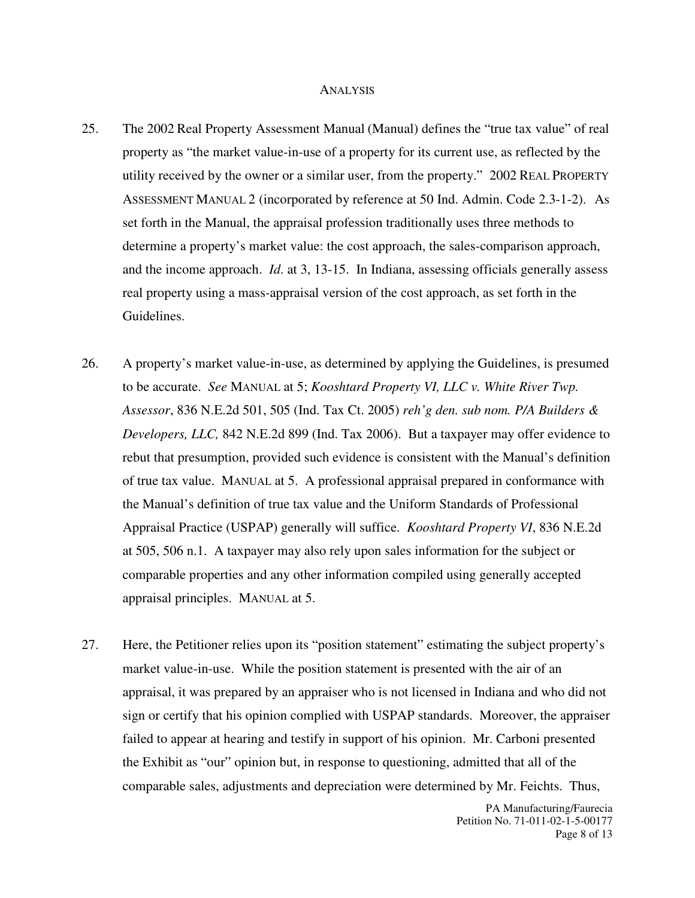#### **ANALYSIS**

- 25. The 2002 Real Property Assessment Manual (Manual) defines the "true tax value" of real property as "the market value-in-use of a property for its current use, as reflected by the utility received by the owner or a similar user, from the property." 2002 REAL PROPERTY ASSESSMENT MANUAL 2 (incorporated by reference at 50 Ind. Admin. Code 2.3-1-2). As set forth in the Manual, the appraisal profession traditionally uses three methods to determine a property's market value: the cost approach, the sales-comparison approach, and the income approach. *Id*. at 3, 13-15. In Indiana, assessing officials generally assess real property using a mass-appraisal version of the cost approach, as set forth in the Guidelines.
- 26. A property's market value-in-use, as determined by applying the Guidelines, is presumed to be accurate. *See* MANUAL at 5; *Kooshtard Property VI, LLC v. White River Twp. Assessor*, 836 N.E.2d 501, 505 (Ind. Tax Ct. 2005) *reh'g den. sub nom. P/A Builders & Developers, LLC,* 842 N.E.2d 899 (Ind. Tax 2006). But a taxpayer may offer evidence to rebut that presumption, provided such evidence is consistent with the Manual's definition of true tax value. MANUAL at 5. A professional appraisal prepared in conformance with the Manual's definition of true tax value and the Uniform Standards of Professional Appraisal Practice (USPAP) generally will suffice. *Kooshtard Property VI*, 836 N.E.2d at 505, 506 n.1. A taxpayer may also rely upon sales information for the subject or comparable properties and any other information compiled using generally accepted appraisal principles. MANUAL at 5.
- 27. Here, the Petitioner relies upon its "position statement" estimating the subject property's market value-in-use. While the position statement is presented with the air of an appraisal, it was prepared by an appraiser who is not licensed in Indiana and who did not sign or certify that his opinion complied with USPAP standards. Moreover, the appraiser failed to appear at hearing and testify in support of his opinion. Mr. Carboni presented the Exhibit as "our" opinion but, in response to questioning, admitted that all of the comparable sales, adjustments and depreciation were determined by Mr. Feichts. Thus,

PA Manufacturing/Faurecia Petition No. 71-011-02-1-5-00177 Page 8 of 13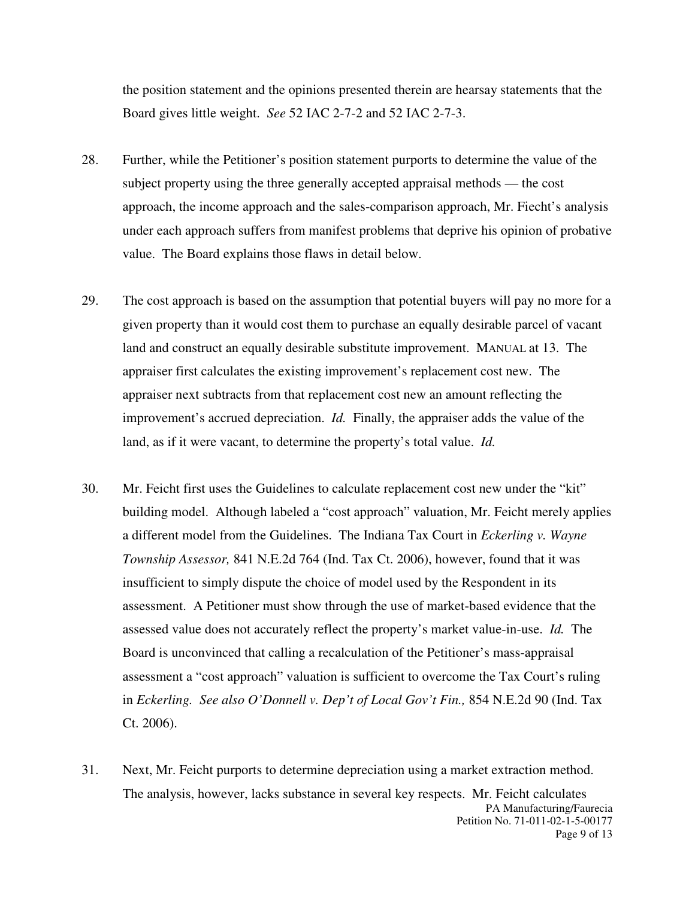the position statement and the opinions presented therein are hearsay statements that the Board gives little weight. *See* 52 IAC 2-7-2 and 52 IAC 2-7-3.

- 28. Further, while the Petitioner's position statement purports to determine the value of the subject property using the three generally accepted appraisal methods — the cost approach, the income approach and the sales-comparison approach, Mr. Fiecht's analysis under each approach suffers from manifest problems that deprive his opinion of probative value. The Board explains those flaws in detail below.
- 29. The cost approach is based on the assumption that potential buyers will pay no more for a given property than it would cost them to purchase an equally desirable parcel of vacant land and construct an equally desirable substitute improvement. MANUAL at 13. The appraiser first calculates the existing improvement's replacement cost new. The appraiser next subtracts from that replacement cost new an amount reflecting the improvement's accrued depreciation. *Id.* Finally, the appraiser adds the value of the land, as if it were vacant, to determine the property's total value. *Id.*
- 30. Mr. Feicht first uses the Guidelines to calculate replacement cost new under the "kit" building model. Although labeled a "cost approach" valuation, Mr. Feicht merely applies a different model from the Guidelines. The Indiana Tax Court in *Eckerling v. Wayne Township Assessor,* 841 N.E.2d 764 (Ind. Tax Ct. 2006), however, found that it was insufficient to simply dispute the choice of model used by the Respondent in its assessment. A Petitioner must show through the use of market-based evidence that the assessed value does not accurately reflect the property's market value-in-use. *Id.* The Board is unconvinced that calling a recalculation of the Petitioner's mass-appraisal assessment a "cost approach" valuation is sufficient to overcome the Tax Court's ruling in *Eckerling. See also O'Donnell v. Dep't of Local Gov't Fin.,* 854 N.E.2d 90 (Ind. Tax Ct. 2006).
- PA Manufacturing/Faurecia Petition No. 71-011-02-1-5-00177 Page 9 of 13 31. Next, Mr. Feicht purports to determine depreciation using a market extraction method. The analysis, however, lacks substance in several key respects. Mr. Feicht calculates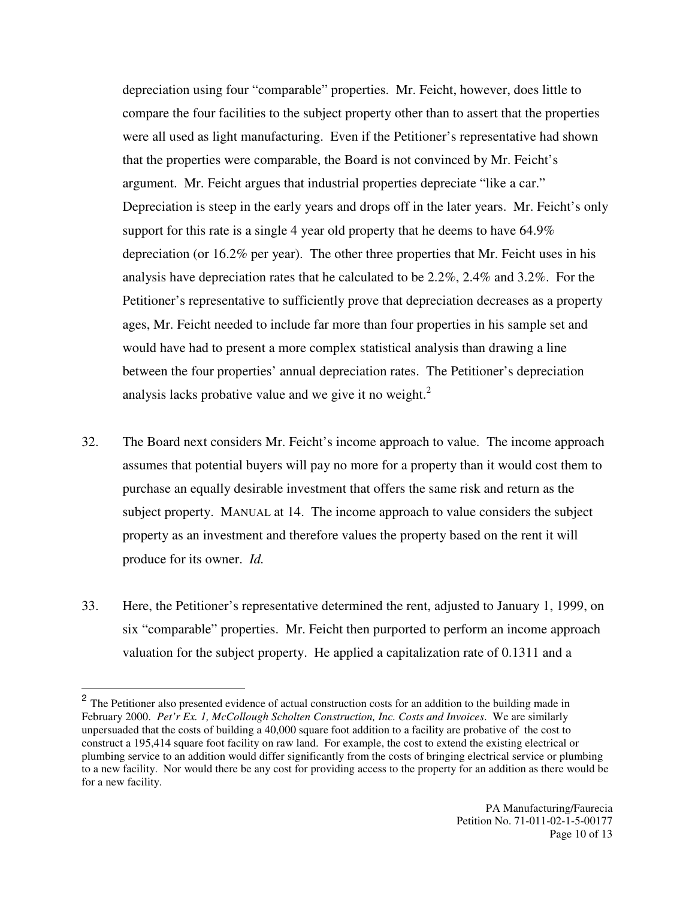depreciation using four "comparable" properties. Mr. Feicht, however, does little to compare the four facilities to the subject property other than to assert that the properties were all used as light manufacturing. Even if the Petitioner's representative had shown that the properties were comparable, the Board is not convinced by Mr. Feicht's argument. Mr. Feicht argues that industrial properties depreciate "like a car." Depreciation is steep in the early years and drops off in the later years. Mr. Feicht's only support for this rate is a single 4 year old property that he deems to have 64.9% depreciation (or 16.2% per year). The other three properties that Mr. Feicht uses in his analysis have depreciation rates that he calculated to be 2.2%, 2.4% and 3.2%. For the Petitioner's representative to sufficiently prove that depreciation decreases as a property ages, Mr. Feicht needed to include far more than four properties in his sample set and would have had to present a more complex statistical analysis than drawing a line between the four properties' annual depreciation rates. The Petitioner's depreciation analysis lacks probative value and we give it no weight. $<sup>2</sup>$ </sup>

- 32. The Board next considers Mr. Feicht's income approach to value. The income approach assumes that potential buyers will pay no more for a property than it would cost them to purchase an equally desirable investment that offers the same risk and return as the subject property. MANUAL at 14. The income approach to value considers the subject property as an investment and therefore values the property based on the rent it will produce for its owner. *Id.*
- 33. Here, the Petitioner's representative determined the rent, adjusted to January 1, 1999, on six "comparable" properties. Mr. Feicht then purported to perform an income approach valuation for the subject property. He applied a capitalization rate of 0.1311 and a

<sup>&</sup>lt;sup>2</sup> The Petitioner also presented evidence of actual construction costs for an addition to the building made in February 2000. *Pet'r Ex. 1, McCollough Scholten Construction, Inc. Costs and Invoices*. We are similarly unpersuaded that the costs of building a 40,000 square foot addition to a facility are probative of the cost to construct a 195,414 square foot facility on raw land. For example, the cost to extend the existing electrical or plumbing service to an addition would differ significantly from the costs of bringing electrical service or plumbing to a new facility. Nor would there be any cost for providing access to the property for an addition as there would be for a new facility.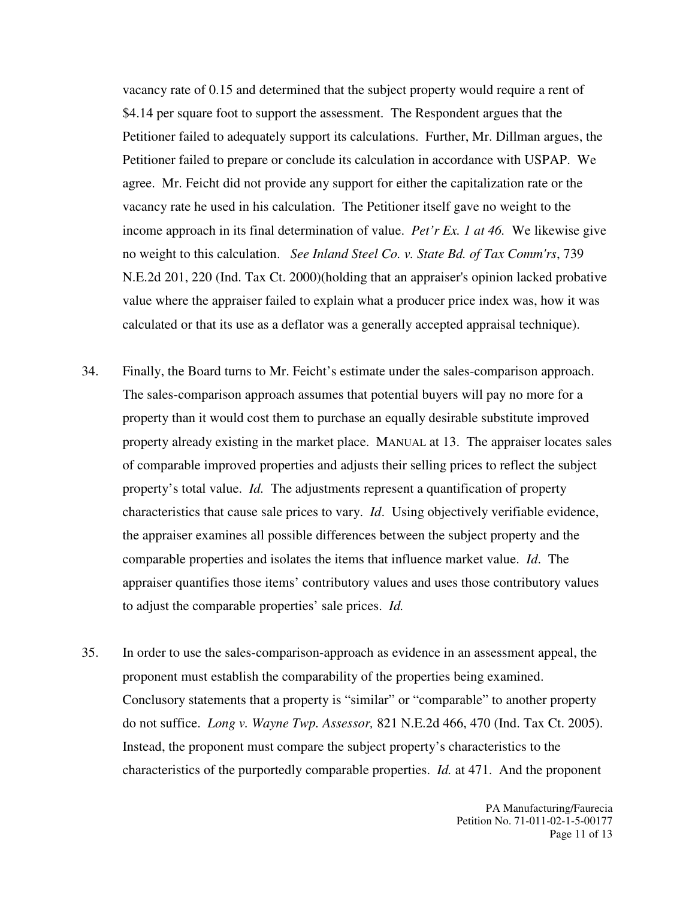vacancy rate of 0.15 and determined that the subject property would require a rent of \$4.14 per square foot to support the assessment. The Respondent argues that the Petitioner failed to adequately support its calculations. Further, Mr. Dillman argues, the Petitioner failed to prepare or conclude its calculation in accordance with USPAP. We agree. Mr. Feicht did not provide any support for either the capitalization rate or the vacancy rate he used in his calculation. The Petitioner itself gave no weight to the income approach in its final determination of value. *Pet'r Ex. 1 at 46.* We likewise give no weight to this calculation. *See Inland Steel Co. v. State Bd. of Tax Comm'rs*, 739 N.E.2d 201, 220 (Ind. Tax Ct. 2000)(holding that an appraiser's opinion lacked probative value where the appraiser failed to explain what a producer price index was, how it was calculated or that its use as a deflator was a generally accepted appraisal technique).

- 34. Finally, the Board turns to Mr. Feicht's estimate under the sales-comparison approach. The sales-comparison approach assumes that potential buyers will pay no more for a property than it would cost them to purchase an equally desirable substitute improved property already existing in the market place. MANUAL at 13.The appraiser locates sales of comparable improved properties and adjusts their selling prices to reflect the subject property's total value. *Id.* The adjustments represent a quantification of property characteristics that cause sale prices to vary. *Id*. Using objectively verifiable evidence, the appraiser examines all possible differences between the subject property and the comparable properties and isolates the items that influence market value. *Id*. The appraiser quantifies those items' contributory values and uses those contributory values to adjust the comparable properties' sale prices. *Id.*
- 35. In order to use the sales-comparison-approach as evidence in an assessment appeal, the proponent must establish the comparability of the properties being examined. Conclusory statements that a property is "similar" or "comparable" to another property do not suffice. *Long v. Wayne Twp. Assessor,* 821 N.E.2d 466, 470 (Ind. Tax Ct. 2005). Instead, the proponent must compare the subject property's characteristics to the characteristics of the purportedly comparable properties. *Id.* at 471. And the proponent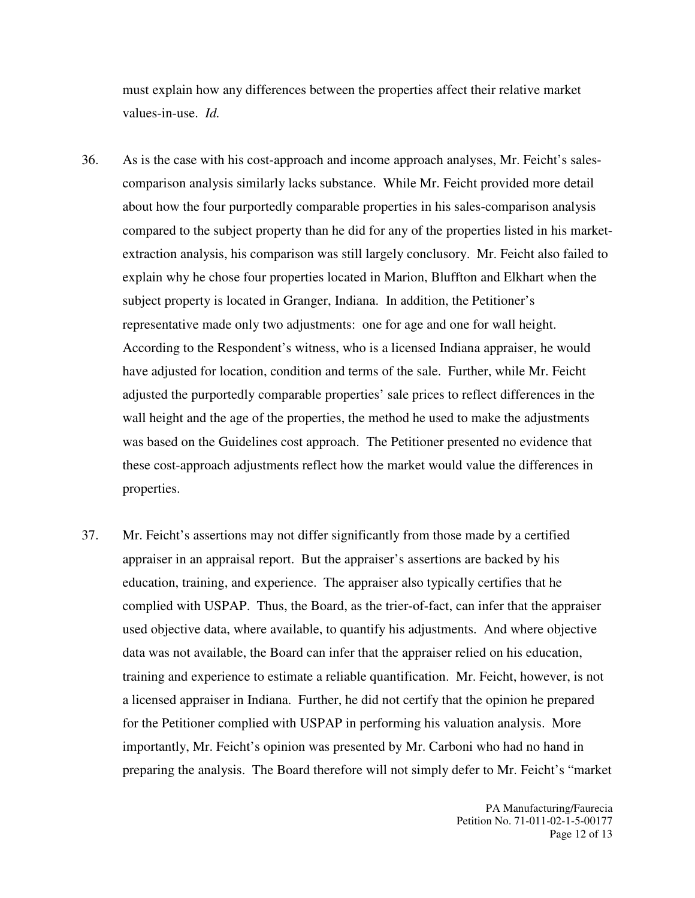must explain how any differences between the properties affect their relative market values-in-use. *Id.*

- 36. As is the case with his cost-approach and income approach analyses, Mr. Feicht's salescomparison analysis similarly lacks substance. While Mr. Feicht provided more detail about how the four purportedly comparable properties in his sales-comparison analysis compared to the subject property than he did for any of the properties listed in his marketextraction analysis, his comparison was still largely conclusory. Mr. Feicht also failed to explain why he chose four properties located in Marion, Bluffton and Elkhart when the subject property is located in Granger, Indiana. In addition, the Petitioner's representative made only two adjustments: one for age and one for wall height. According to the Respondent's witness, who is a licensed Indiana appraiser, he would have adjusted for location, condition and terms of the sale. Further, while Mr. Feicht adjusted the purportedly comparable properties' sale prices to reflect differences in the wall height and the age of the properties, the method he used to make the adjustments was based on the Guidelines cost approach. The Petitioner presented no evidence that these cost-approach adjustments reflect how the market would value the differences in properties.
- 37. Mr. Feicht's assertions may not differ significantly from those made by a certified appraiser in an appraisal report. But the appraiser's assertions are backed by his education, training, and experience. The appraiser also typically certifies that he complied with USPAP. Thus, the Board, as the trier-of-fact, can infer that the appraiser used objective data, where available, to quantify his adjustments. And where objective data was not available, the Board can infer that the appraiser relied on his education, training and experience to estimate a reliable quantification. Mr. Feicht, however, is not a licensed appraiser in Indiana. Further, he did not certify that the opinion he prepared for the Petitioner complied with USPAP in performing his valuation analysis. More importantly, Mr. Feicht's opinion was presented by Mr. Carboni who had no hand in preparing the analysis. The Board therefore will not simply defer to Mr. Feicht's "market